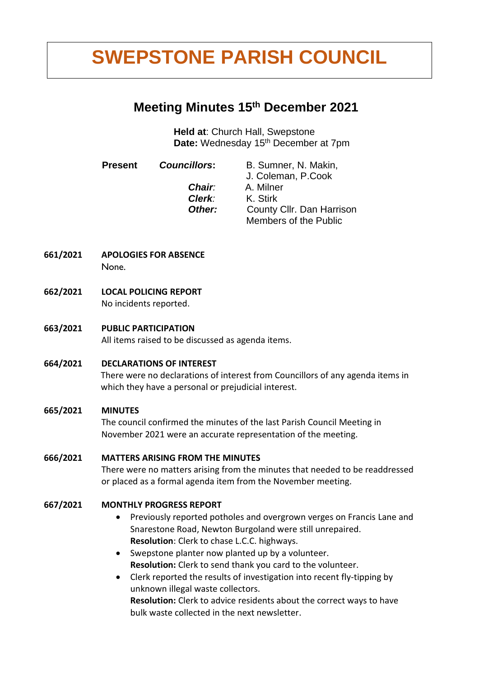# **2.00/6 SWEPSTONE PARISH COUNCIL**

# **Meeting Minutes 15th December 2021**

**Held at**: Church Hall, Swepstone Date: Wednesday 15<sup>th</sup> December at 7pm

**Present** *Councillors***:** B. Sumner, N. Makin,

J. Coleman, P.Cook *Chair:* A. Milner *Clerk:* K. Stirk **Other:** County Cllr. Dan Harrison Members of the Public

- **661/2021 APOLOGIES FOR ABSENCE None.**
- **662/2021 LOCAL POLICING REPORT** No incidents reported.
- **663/2021 PUBLIC PARTICIPATION** All items raised to be discussed as agenda items.
- **664/2021 DECLARATIONS OF INTEREST**

There were no declarations of interest from Councillors of any agenda items in which they have a personal or prejudicial interest.

# **665/2021 MINUTES**

The council confirmed the minutes of the last Parish Council Meeting in November 2021 were an accurate representation of the meeting.

# **666/2021 MATTERS ARISING FROM THE MINUTES**

There were no matters arising from the minutes that needed to be readdressed or placed as a formal agenda item from the November meeting.

# **667/2021 MONTHLY PROGRESS REPORT**

- Previously reported potholes and overgrown verges on Francis Lane and Snarestone Road, Newton Burgoland were still unrepaired. **Resolution**: Clerk to chase L.C.C. highways.
- Swepstone planter now planted up by a volunteer. **Resolution:** Clerk to send thank you card to the volunteer.
- Clerk reported the results of investigation into recent fly-tipping by unknown illegal waste collectors.

**Resolution:** Clerk to advice residents about the correct ways to have bulk waste collected in the next newsletter.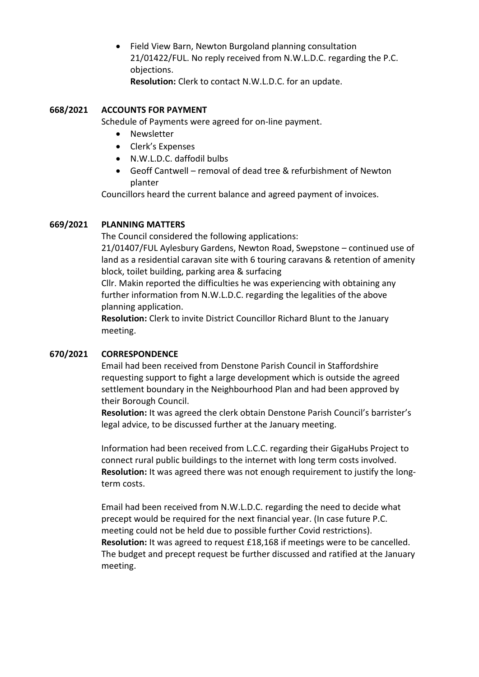• Field View Barn, Newton Burgoland planning consultation 21/01422/FUL. No reply received from N.W.L.D.C. regarding the P.C. objections. **Resolution:** Clerk to contact N.W.L.D.C. for an update.

#### **668/2021 ACCOUNTS FOR PAYMENT**

Schedule of Payments were agreed for on-line payment.

- Newsletter
- Clerk's Expenses
- N.W.L.D.C. daffodil bulbs
- Geoff Cantwell removal of dead tree & refurbishment of Newton planter

Councillors heard the current balance and agreed payment of invoices.

#### **669/2021 PLANNING MATTERS**

The Council considered the following applications:

21/01407/FUL Aylesbury Gardens, Newton Road, Swepstone – continued use of land as a residential caravan site with 6 touring caravans & retention of amenity block, toilet building, parking area & surfacing

Cllr. Makin reported the difficulties he was experiencing with obtaining any further information from N.W.L.D.C. regarding the legalities of the above planning application.

**Resolution:** Clerk to invite District Councillor Richard Blunt to the January meeting.

#### **670/2021 CORRESPONDENCE**

Email had been received from Denstone Parish Council in Staffordshire requesting support to fight a large development which is outside the agreed settlement boundary in the Neighbourhood Plan and had been approved by their Borough Council.

**Resolution:** It was agreed the clerk obtain Denstone Parish Council's barrister's legal advice, to be discussed further at the January meeting.

Information had been received from L.C.C. regarding their GigaHubs Project to connect rural public buildings to the internet with long term costs involved. **Resolution:** It was agreed there was not enough requirement to justify the longterm costs.

Email had been received from N.W.L.D.C. regarding the need to decide what precept would be required for the next financial year. (In case future P.C. meeting could not be held due to possible further Covid restrictions). **Resolution:** It was agreed to request £18,168 if meetings were to be cancelled. The budget and precept request be further discussed and ratified at the January meeting.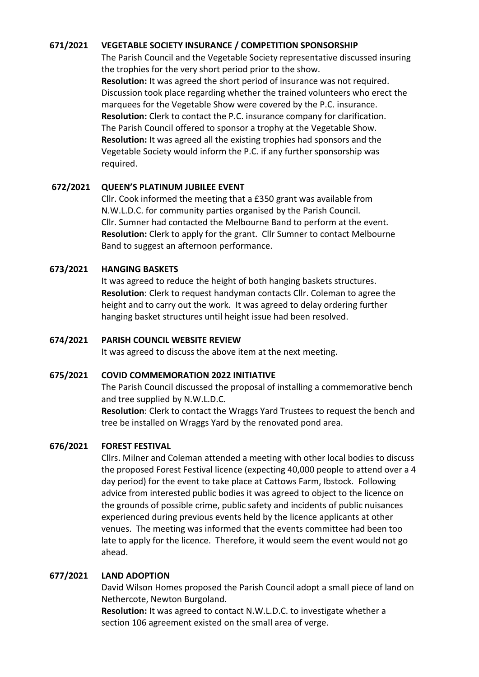#### **671/2021 VEGETABLE SOCIETY INSURANCE / COMPETITION SPONSORSHIP**

The Parish Council and the Vegetable Society representative discussed insuring the trophies for the very short period prior to the show. **Resolution:** It was agreed the short period of insurance was not required. Discussion took place regarding whether the trained volunteers who erect the marquees for the Vegetable Show were covered by the P.C. insurance. **Resolution:** Clerk to contact the P.C. insurance company for clarification. The Parish Council offered to sponsor a trophy at the Vegetable Show. **Resolution:** It was agreed all the existing trophies had sponsors and the Vegetable Society would inform the P.C. if any further sponsorship was required.

#### **672/2021 QUEEN'S PLATINUM JUBILEE EVENT**

Cllr. Cook informed the meeting that a £350 grant was available from N.W.L.D.C. for community parties organised by the Parish Council. Cllr. Sumner had contacted the Melbourne Band to perform at the event. **Resolution:** Clerk to apply for the grant. Cllr Sumner to contact Melbourne Band to suggest an afternoon performance.

#### **673/2021 HANGING BASKETS**

It was agreed to reduce the height of both hanging baskets structures. **Resolution**: Clerk to request handyman contacts Cllr. Coleman to agree the height and to carry out the work. It was agreed to delay ordering further hanging basket structures until height issue had been resolved.

#### **674/2021 PARISH COUNCIL WEBSITE REVIEW**

It was agreed to discuss the above item at the next meeting.

#### **675/2021 COVID COMMEMORATION 2022 INITIATIVE**

The Parish Council discussed the proposal of installing a commemorative bench and tree supplied by N.W.L.D.C.

**Resolution**: Clerk to contact the Wraggs Yard Trustees to request the bench and tree be installed on Wraggs Yard by the renovated pond area.

#### **676/2021 FOREST FESTIVAL**

Cllrs. Milner and Coleman attended a meeting with other local bodies to discuss the proposed Forest Festival licence (expecting 40,000 people to attend over a 4 day period) for the event to take place at Cattows Farm, Ibstock. Following advice from interested public bodies it was agreed to object to the licence on the grounds of possible crime, public safety and incidents of public nuisances experienced during previous events held by the licence applicants at other venues. The meeting was informed that the events committee had been too late to apply for the licence. Therefore, it would seem the event would not go ahead.

#### **677/2021 LAND ADOPTION**

David Wilson Homes proposed the Parish Council adopt a small piece of land on Nethercote, Newton Burgoland.

**Resolution:** It was agreed to contact N.W.L.D.C. to investigate whether a section 106 agreement existed on the small area of verge.